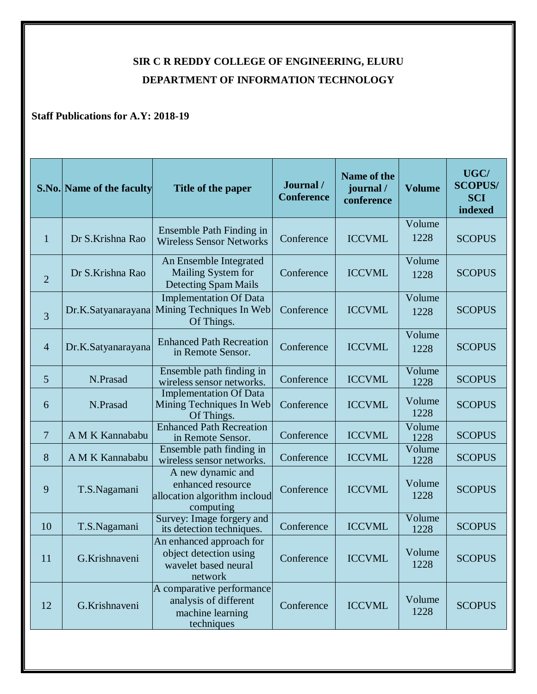## **SIR C R REDDY COLLEGE OF ENGINEERING, ELURU DEPARTMENT OF INFORMATION TECHNOLOGY**

## **Staff Publications for A.Y: 2018-19**

|                | <b>S.No. Name of the faculty</b> | Title of the paper                                                                    | Journal/<br><b>Conference</b> | Name of the<br>journal/<br>conference | <b>Volume</b>  | UGC/<br><b>SCOPUS/</b><br><b>SCI</b><br>indexed |
|----------------|----------------------------------|---------------------------------------------------------------------------------------|-------------------------------|---------------------------------------|----------------|-------------------------------------------------|
| $\mathbf{1}$   | Dr S.Krishna Rao                 | Ensemble Path Finding in<br><b>Wireless Sensor Networks</b>                           | Conference                    | <b>ICCVML</b>                         | Volume<br>1228 | <b>SCOPUS</b>                                   |
| $\overline{2}$ | Dr S.Krishna Rao                 | An Ensemble Integrated<br>Mailing System for<br>Detecting Spam Mails                  | Conference                    | <b>ICCVML</b>                         | Volume<br>1228 | <b>SCOPUS</b>                                   |
| 3              | Dr.K.Satyanarayana               | <b>Implementation Of Data</b><br>Mining Techniques In Web<br>Of Things.               | Conference                    | <b>ICCVML</b>                         | Volume<br>1228 | <b>SCOPUS</b>                                   |
| $\overline{4}$ | Dr.K.Satyanarayana               | <b>Enhanced Path Recreation</b><br>in Remote Sensor.                                  | Conference                    | <b>ICCVML</b>                         | Volume<br>1228 | <b>SCOPUS</b>                                   |
| 5              | N.Prasad                         | Ensemble path finding in<br>wireless sensor networks.                                 | Conference                    | <b>ICCVML</b>                         | Volume<br>1228 | <b>SCOPUS</b>                                   |
| 6              | N.Prasad                         | <b>Implementation Of Data</b><br>Mining Techniques In Web<br>Of Things.               | Conference                    | <b>ICCVML</b>                         | Volume<br>1228 | <b>SCOPUS</b>                                   |
| $\overline{7}$ | A M K Kannababu                  | <b>Enhanced Path Recreation</b><br>in Remote Sensor.                                  | Conference                    | <b>ICCVML</b>                         | Volume<br>1228 | <b>SCOPUS</b>                                   |
| 8              | A M K Kannababu                  | Ensemble path finding in<br>wireless sensor networks.                                 | Conference                    | <b>ICCVML</b>                         | Volume<br>1228 | <b>SCOPUS</b>                                   |
| 9              | T.S.Nagamani                     | A new dynamic and<br>enhanced resource<br>allocation algorithm incloud<br>computing   | Conference                    | <b>ICCVML</b>                         | Volume<br>1228 | <b>SCOPUS</b>                                   |
| 10             | T.S.Nagamani                     | Survey: Image forgery and<br>its detection techniques.                                | Conference                    | <b>ICCVML</b>                         | Volume<br>1228 | <b>SCOPUS</b>                                   |
| 11             | G.Krishnaveni                    | An enhanced approach for<br>object detection using<br>wavelet based neural<br>network | Conference                    | <b>ICCVML</b>                         | Volume<br>1228 | <b>SCOPUS</b>                                   |
| 12             | G.Krishnaveni                    | A comparative performance<br>analysis of different<br>machine learning<br>techniques  | Conference                    | <b>ICCVML</b>                         | Volume<br>1228 | <b>SCOPUS</b>                                   |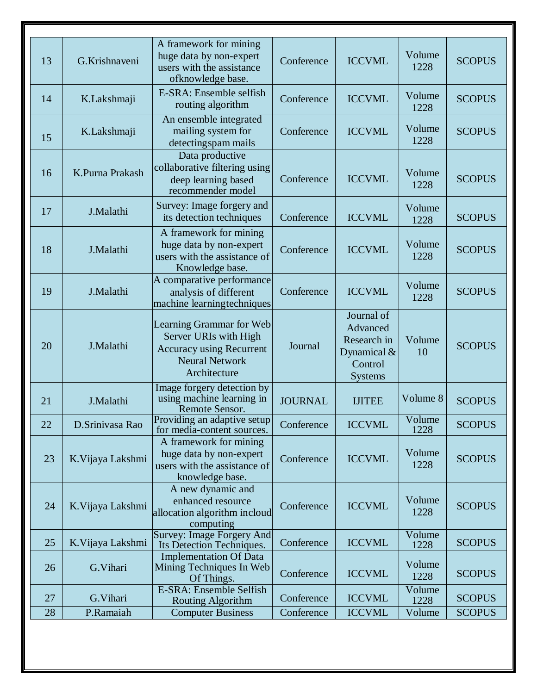| 13 | G.Krishnaveni     | A framework for mining<br>huge data by non-expert<br>users with the assistance<br>ofknowledge base.                           | Conference     | <b>ICCVML</b>                                                                       | Volume<br>1228 | <b>SCOPUS</b> |
|----|-------------------|-------------------------------------------------------------------------------------------------------------------------------|----------------|-------------------------------------------------------------------------------------|----------------|---------------|
| 14 | K.Lakshmaji       | E-SRA: Ensemble selfish<br>routing algorithm                                                                                  | Conference     | <b>ICCVML</b>                                                                       | Volume<br>1228 | <b>SCOPUS</b> |
| 15 | K.Lakshmaji       | An ensemble integrated<br>mailing system for<br>detecting spam mails                                                          | Conference     | <b>ICCVML</b>                                                                       | Volume<br>1228 | <b>SCOPUS</b> |
| 16 | K.Purna Prakash   | Data productive<br>collaborative filtering using<br>deep learning based<br>recommender model                                  | Conference     | <b>ICCVML</b>                                                                       | Volume<br>1228 | <b>SCOPUS</b> |
| 17 | J.Malathi         | Survey: Image forgery and<br>its detection techniques                                                                         | Conference     | <b>ICCVML</b>                                                                       | Volume<br>1228 | <b>SCOPUS</b> |
| 18 | J.Malathi         | A framework for mining<br>huge data by non-expert<br>users with the assistance of<br>Knowledge base.                          | Conference     | <b>ICCVML</b>                                                                       | Volume<br>1228 | <b>SCOPUS</b> |
| 19 | J.Malathi         | A comparative performance<br>analysis of different<br>machine learningtechniques                                              | Conference     | <b>ICCVML</b>                                                                       | Volume<br>1228 | <b>SCOPUS</b> |
| 20 | J.Malathi         | Learning Grammar for Web<br>Server URIs with High<br><b>Accuracy using Recurrent</b><br><b>Neural Network</b><br>Architecture | Journal        | Journal of<br>Advanced<br>Research in<br>Dynamical $&$<br>Control<br><b>Systems</b> | Volume<br>10   | <b>SCOPUS</b> |
| 21 | J.Malathi         | Image forgery detection by<br>using machine learning in<br>Remote Sensor.                                                     | <b>JOURNAL</b> | <b>IJITEE</b>                                                                       | Volume 8       | <b>SCOPUS</b> |
| 22 | D.Srinivasa Rao   | Providing an adaptive setup<br>for media-content sources.                                                                     | Conference     | <b>ICCVML</b>                                                                       | Volume<br>1228 | <b>SCOPUS</b> |
| 23 | K. Vijaya Lakshmi | A framework for mining<br>huge data by non-expert<br>users with the assistance of<br>knowledge base.                          | Conference     | <b>ICCVML</b>                                                                       | Volume<br>1228 | <b>SCOPUS</b> |
| 24 | K. Vijaya Lakshmi | A new dynamic and<br>enhanced resource<br>allocation algorithm incloud<br>computing                                           | Conference     | <b>ICCVML</b>                                                                       | Volume<br>1228 | <b>SCOPUS</b> |
| 25 | K. Vijaya Lakshmi | Survey: Image Forgery And<br>Its Detection Techniques.                                                                        | Conference     | <b>ICCVML</b>                                                                       | Volume<br>1228 | <b>SCOPUS</b> |
| 26 | G.Vihari          | <b>Implementation Of Data</b><br>Mining Techniques In Web<br>Of Things.                                                       | Conference     | <b>ICCVML</b>                                                                       | Volume<br>1228 | <b>SCOPUS</b> |
| 27 | G.Vihari          | E-SRA: Ensemble Selfish<br>Routing Algorithm                                                                                  | Conference     | <b>ICCVML</b>                                                                       | Volume<br>1228 | <b>SCOPUS</b> |
| 28 | P.Ramaiah         | <b>Computer Business</b>                                                                                                      | Conference     | <b>ICCVML</b>                                                                       | Volume         | <b>SCOPUS</b> |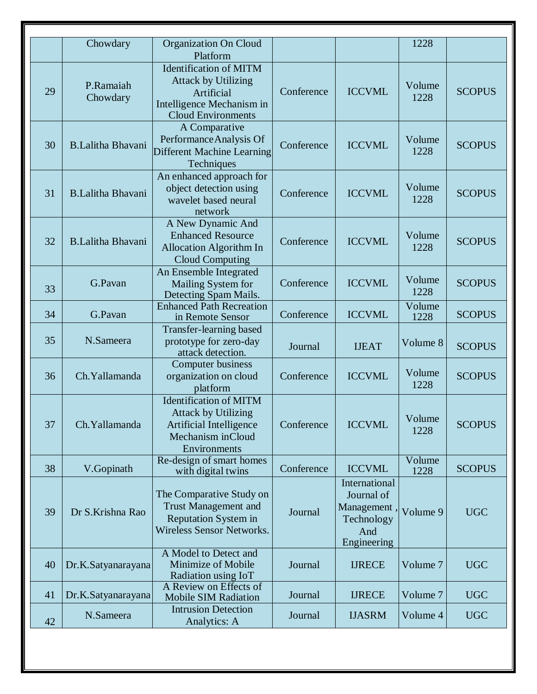|    | Chowdary                 | <b>Organization On Cloud</b><br>Platform                                                                                            |            |                                                                               | 1228           |               |
|----|--------------------------|-------------------------------------------------------------------------------------------------------------------------------------|------------|-------------------------------------------------------------------------------|----------------|---------------|
| 29 | P.Ramaiah<br>Chowdary    | <b>Identification of MITM</b><br><b>Attack by Utilizing</b><br>Artificial<br>Intelligence Mechanism in<br><b>Cloud Environments</b> | Conference | <b>ICCVML</b>                                                                 | Volume<br>1228 | <b>SCOPUS</b> |
| 30 | <b>B.Lalitha Bhavani</b> | A Comparative<br>Performance Analysis Of<br><b>Different Machine Learning</b><br>Techniques                                         | Conference | <b>ICCVML</b>                                                                 | Volume<br>1228 | <b>SCOPUS</b> |
| 31 | <b>B.Lalitha Bhavani</b> | An enhanced approach for<br>object detection using<br>wavelet based neural<br>network                                               | Conference | <b>ICCVML</b>                                                                 | Volume<br>1228 | <b>SCOPUS</b> |
| 32 | <b>B.Lalitha Bhavani</b> | A New Dynamic And<br><b>Enhanced Resource</b><br><b>Allocation Algorithm In</b><br><b>Cloud Computing</b>                           | Conference | <b>ICCVML</b>                                                                 | Volume<br>1228 | <b>SCOPUS</b> |
| 33 | G.Pavan                  | An Ensemble Integrated<br>Mailing System for<br>Detecting Spam Mails.                                                               | Conference | <b>ICCVML</b>                                                                 | Volume<br>1228 | <b>SCOPUS</b> |
| 34 | G.Pavan                  | <b>Enhanced Path Recreation</b><br>in Remote Sensor                                                                                 | Conference | <b>ICCVML</b>                                                                 | Volume<br>1228 | <b>SCOPUS</b> |
| 35 | N.Sameera                | Transfer-learning based<br>prototype for zero-day<br>attack detection.                                                              | Journal    | <b>IJEAT</b>                                                                  | Volume 8       | <b>SCOPUS</b> |
| 36 | Ch. Yallamanda           | <b>Computer business</b><br>organization on cloud<br>platform                                                                       | Conference | <b>ICCVML</b>                                                                 | Volume<br>1228 | <b>SCOPUS</b> |
| 37 | Ch. Yallamanda           | <b>Identification of MITM</b><br><b>Attack by Utilizing</b><br>Artificial Intelligence<br>Mechanism inCloud<br>Environments         | Conference | <b>ICCVML</b>                                                                 | Volume<br>1228 | <b>SCOPUS</b> |
| 38 | V.Gopinath               | Re-design of smart homes<br>with digital twins                                                                                      | Conference | <b>ICCVML</b>                                                                 | Volume<br>1228 | <b>SCOPUS</b> |
| 39 | Dr S.Krishna Rao         | The Comparative Study on<br><b>Trust Management and</b><br>Reputation System in<br><b>Wireless Sensor Networks.</b>                 | Journal    | International<br>Journal of<br>Management<br>Technology<br>And<br>Engineering | Volume 9       | <b>UGC</b>    |
| 40 | Dr.K.Satyanarayana       | A Model to Detect and<br>Minimize of Mobile<br>Radiation using IoT                                                                  | Journal    | <b>IJRECE</b>                                                                 | Volume 7       | <b>UGC</b>    |
| 41 | Dr.K.Satyanarayana       | A Review on Effects of<br>Mobile SIM Radiation                                                                                      | Journal    | <b>IJRECE</b>                                                                 | Volume 7       | <b>UGC</b>    |
| 42 | N.Sameera                | <b>Intrusion Detection</b><br>Analytics: A                                                                                          | Journal    | <b>IJASRM</b>                                                                 | Volume 4       | <b>UGC</b>    |